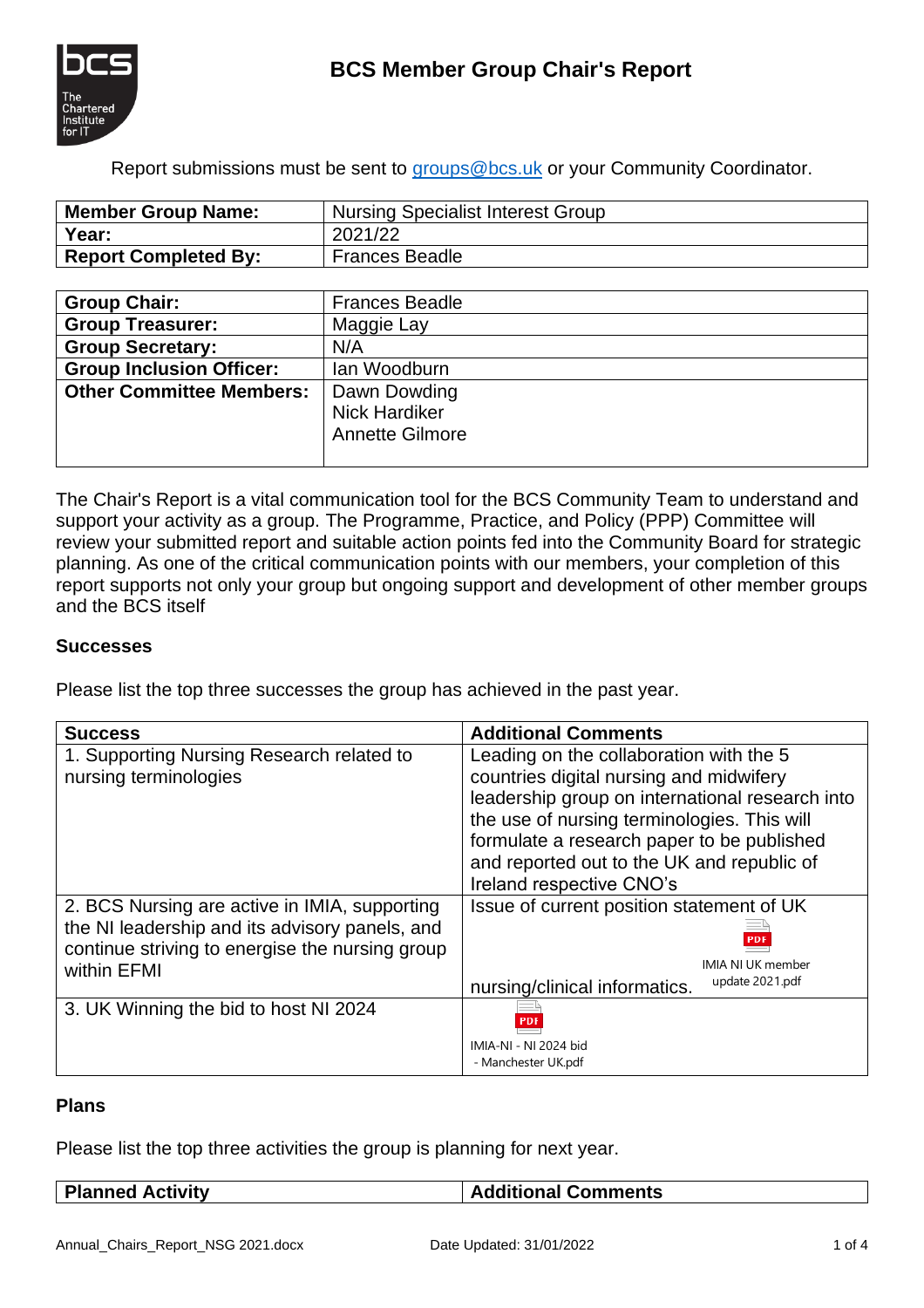



Report submissions must be sent to [groups@bcs.uk](mailto:groups@bcs.uk) or your Community Coordinator.

| Member Group Name:          | <b>Nursing Specialist Interest Group</b> |  |
|-----------------------------|------------------------------------------|--|
| Year:                       | 2021/22                                  |  |
| <b>Report Completed By:</b> | <b>Frances Beadle</b>                    |  |

| <b>Group Chair:</b>             | <b>Frances Beadle</b>  |
|---------------------------------|------------------------|
| <b>Group Treasurer:</b>         | Maggie Lay             |
| <b>Group Secretary:</b>         | N/A                    |
| <b>Group Inclusion Officer:</b> | lan Woodburn           |
| <b>Other Committee Members:</b> | Dawn Dowding           |
|                                 | <b>Nick Hardiker</b>   |
|                                 | <b>Annette Gilmore</b> |
|                                 |                        |

The Chair's Report is a vital communication tool for the BCS Community Team to understand and support your activity as a group. The Programme, Practice, and Policy (PPP) Committee will review your submitted report and suitable action points fed into the Community Board for strategic planning. As one of the critical communication points with our members, your completion of this report supports not only your group but ongoing support and development of other member groups and the BCS itself

## **Successes**

Please list the top three successes the group has achieved in the past year.

| <b>Success</b>                                                                                                                                                    | <b>Additional Comments</b>                                                                                                                                                           |  |
|-------------------------------------------------------------------------------------------------------------------------------------------------------------------|--------------------------------------------------------------------------------------------------------------------------------------------------------------------------------------|--|
| 1. Supporting Nursing Research related to<br>nursing terminologies                                                                                                | Leading on the collaboration with the 5<br>countries digital nursing and midwifery<br>leadership group on international research into<br>the use of nursing terminologies. This will |  |
|                                                                                                                                                                   | formulate a research paper to be published<br>and reported out to the UK and republic of<br>Ireland respective CNO's                                                                 |  |
| 2. BCS Nursing are active in IMIA, supporting<br>the NI leadership and its advisory panels, and<br>continue striving to energise the nursing group<br>within EFMI | Issue of current position statement of UK<br><b>IMIA NI UK member</b>                                                                                                                |  |
|                                                                                                                                                                   | update 2021.pdf<br>nursing/clinical informatics.                                                                                                                                     |  |
| 3. UK Winning the bid to host NI 2024                                                                                                                             | IMIA-NI - NI 2024 bid<br>- Manchester UK.pdf                                                                                                                                         |  |

#### **Plans**

Please list the top three activities the group is planning for next year.

| <b>Planned Activity</b> |  |
|-------------------------|--|
|-------------------------|--|

#### **Additional Comments**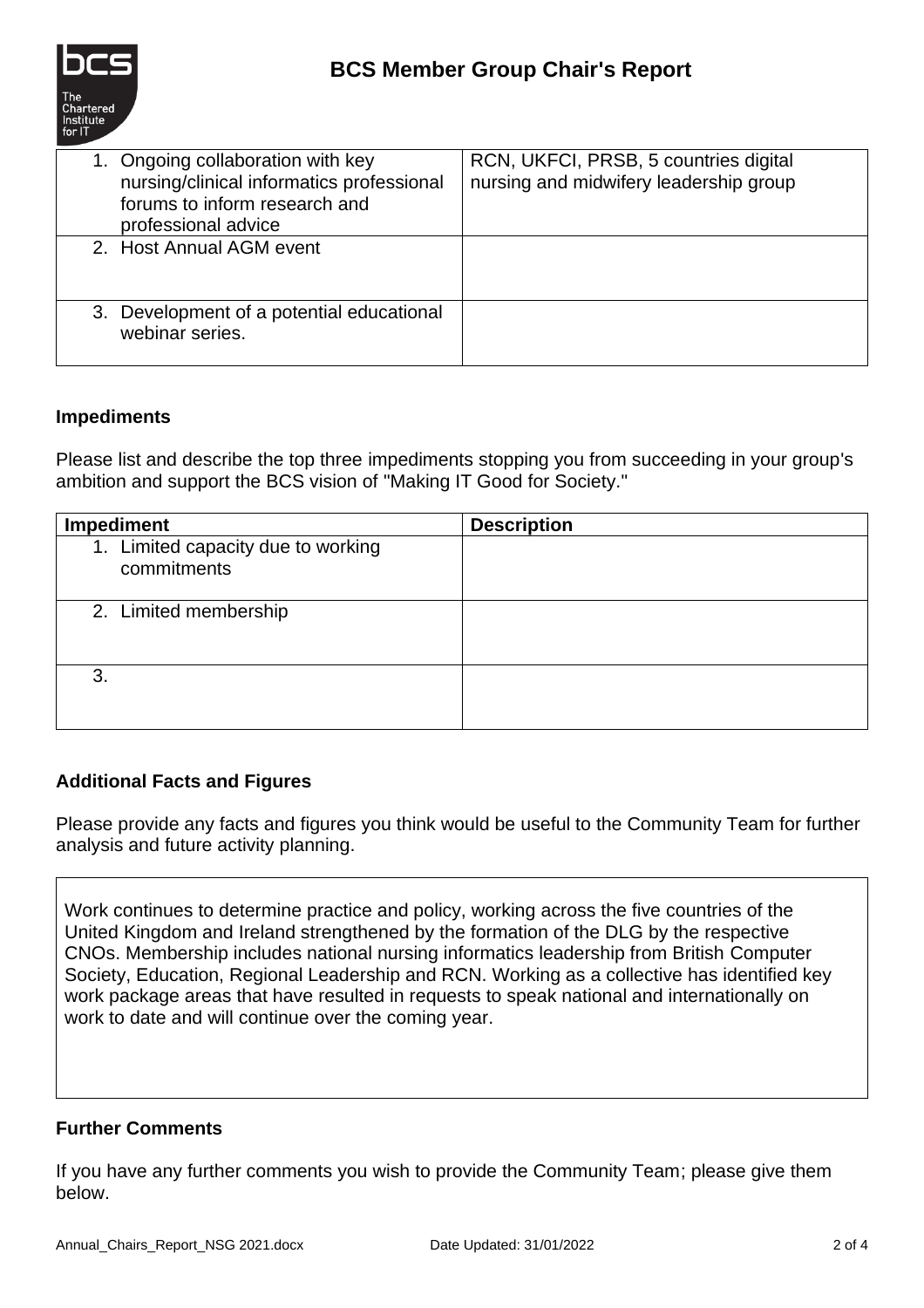

| 1. Ongoing collaboration with key<br>nursing/clinical informatics professional<br>forums to inform research and<br>professional advice | RCN, UKFCI, PRSB, 5 countries digital<br>nursing and midwifery leadership group |
|----------------------------------------------------------------------------------------------------------------------------------------|---------------------------------------------------------------------------------|
| 2. Host Annual AGM event                                                                                                               |                                                                                 |
| 3. Development of a potential educational<br>webinar series.                                                                           |                                                                                 |

## **Impediments**

Please list and describe the top three impediments stopping you from succeeding in your group's ambition and support the BCS vision of "Making IT Good for Society."

| <b>Impediment</b>                                 | <b>Description</b> |
|---------------------------------------------------|--------------------|
| 1. Limited capacity due to working<br>commitments |                    |
| 2. Limited membership                             |                    |
| 3.                                                |                    |

## **Additional Facts and Figures**

Please provide any facts and figures you think would be useful to the Community Team for further analysis and future activity planning.

Work continues to determine practice and policy, working across the five countries of the United Kingdom and Ireland strengthened by the formation of the DLG by the respective CNOs. Membership includes national nursing informatics leadership from British Computer Society, Education, Regional Leadership and RCN. Working as a collective has identified key work package areas that have resulted in requests to speak national and internationally on work to date and will continue over the coming year.

## **Further Comments**

If you have any further comments you wish to provide the Community Team; please give them below.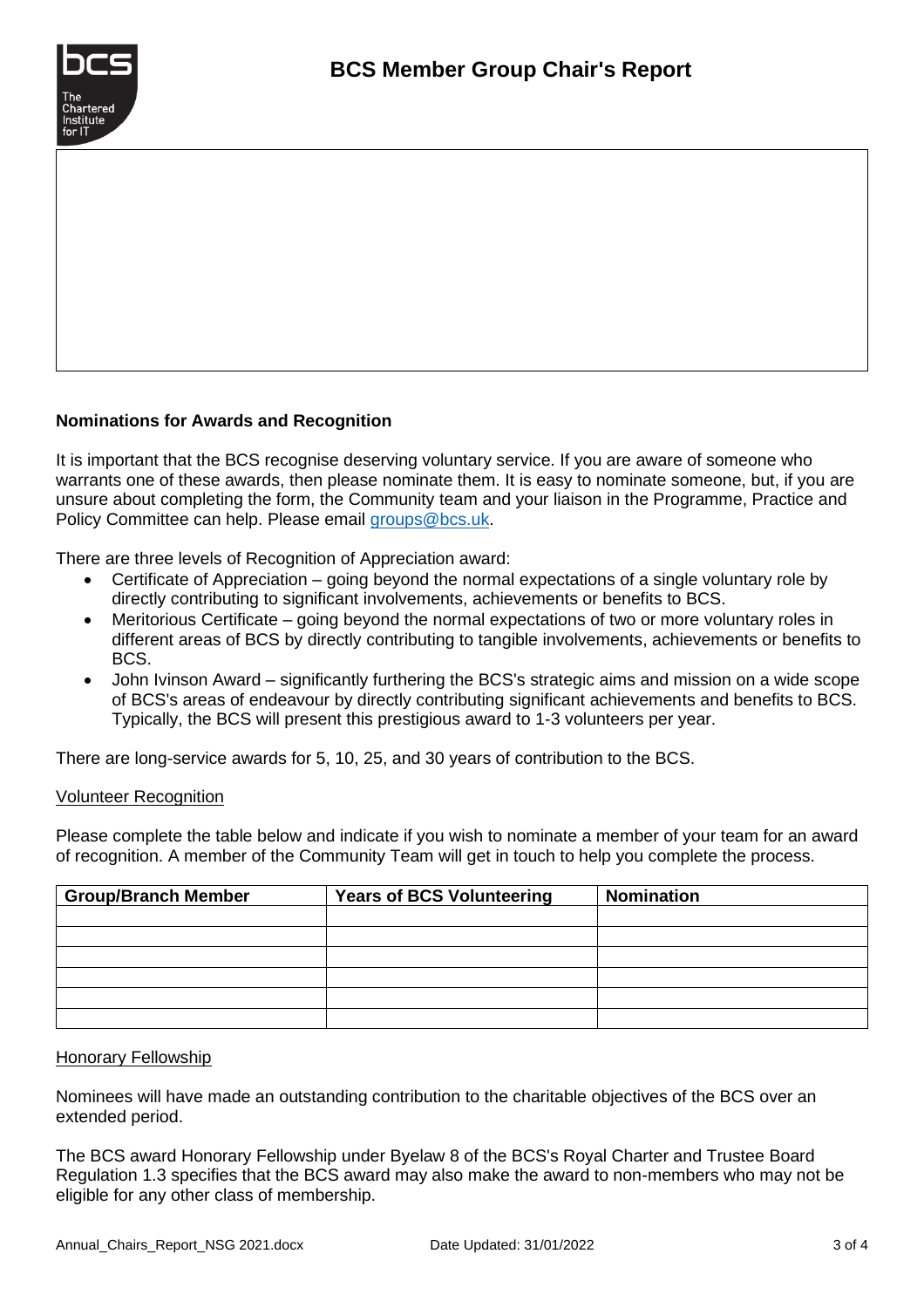

### **Nominations for Awards and Recognition**

It is important that the BCS recognise deserving voluntary service. If you are aware of someone who warrants one of these awards, then please nominate them. It is easy to nominate someone, but, if you are unsure about completing the form, the Community team and your liaison in the Programme, Practice and Policy Committee can help. Please email [groups@bcs.uk.](mailto:groups@bcs.uk)

There are three levels of Recognition of Appreciation award:

- Certificate of Appreciation going beyond the normal expectations of a single voluntary role by directly contributing to significant involvements, achievements or benefits to BCS.
- Meritorious Certificate going beyond the normal expectations of two or more voluntary roles in different areas of BCS by directly contributing to tangible involvements, achievements or benefits to BCS.
- John Ivinson Award significantly furthering the BCS's strategic aims and mission on a wide scope of BCS's areas of endeavour by directly contributing significant achievements and benefits to BCS. Typically, the BCS will present this prestigious award to 1-3 volunteers per year.

There are long-service awards for 5, 10, 25, and 30 years of contribution to the BCS.

#### Volunteer Recognition

Please complete the table below and indicate if you wish to nominate a member of your team for an award of recognition. A member of the Community Team will get in touch to help you complete the process.

| <b>Group/Branch Member</b> | <b>Years of BCS Volunteering</b> | <b>Nomination</b> |
|----------------------------|----------------------------------|-------------------|
|                            |                                  |                   |
|                            |                                  |                   |
|                            |                                  |                   |
|                            |                                  |                   |
|                            |                                  |                   |
|                            |                                  |                   |

#### Honorary Fellowship

Nominees will have made an outstanding contribution to the charitable objectives of the BCS over an extended period.

The BCS award Honorary Fellowship under Byelaw 8 of the BCS's Royal Charter and Trustee Board Regulation 1.3 specifies that the BCS award may also make the award to non-members who may not be eligible for any other class of membership.